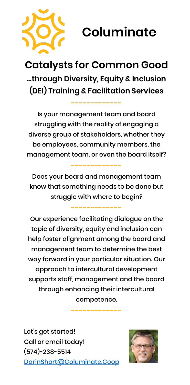

## **Columinate**

## **Catalysts for Common Good …through Diversity, Equity & Inclusion (DEI) Training & Facilitation Services**

**-------------**

Is your management team and board struggling with the reality of engaging a diverse group of stakeholders, whether they be employees, community members, the management team, or even the board itself?

Does your board and management team know that something needs to be done but struggle with where to begin?

**-------------**

**-------------**

Our experience facilitating dialogue on the topic of diversity, equity and inclusion can help foster alignment among the board and management team to determine the best way forward in your particular situation. Our approach to intercultural development supports staff, management and the board through enhancing their intercultural competence.

**-------------**

Let's get started! Call or email today! (574)-238-5514 [DarinShort@Columinate.Coop](mailto:DarinShort@Columinate.Coop)